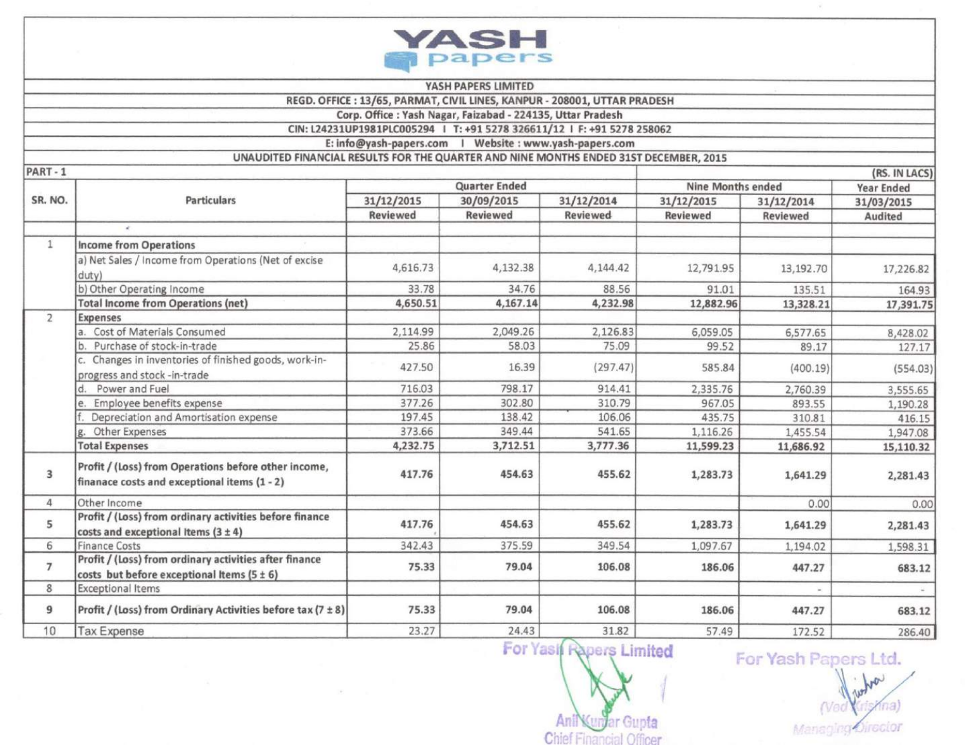

## YASH PAPERS LIMITED

REGD. OFFICE: 13/65, PARMAT, CIVIL LINES, KANPUR - 208001, UTTAR PRADESH

Corp. Office : Yash Nagar, Faizabad - 224135, Uttar Pradesh

CIN: L24231UP1981PLC005294 | T: +91 5278 326611/12 | F: +91 5278 258062

E: info@yash-papers.com | Website : www.yash-papers.com

 $-$ 

UNAUDITED FINANCIAL RESULTS FOR THE QUARTER AND NINE MONTHS ENDED 31ST DECEMBER, 2015

| $PAR1 - 1$     |                                                                                                          |                 |                 |                 |                          | (RS. IN LACS) |                   |  |  |
|----------------|----------------------------------------------------------------------------------------------------------|-----------------|-----------------|-----------------|--------------------------|---------------|-------------------|--|--|
| SR. NO.        | <b>Particulars</b>                                                                                       | Quarter Ended   |                 |                 | <b>Nine Months ended</b> |               | <b>Year Ended</b> |  |  |
|                |                                                                                                          | 31/12/2015      | 30/09/2015      | 31/12/2014      | 31/12/2015               | 31/12/2014    | 31/03/2015        |  |  |
|                |                                                                                                          | <b>Reviewed</b> | <b>Reviewed</b> | <b>Reviewed</b> | Reviewed                 | Reviewed      | Audited           |  |  |
|                | $\epsilon$                                                                                               |                 |                 |                 |                          |               |                   |  |  |
| $\mathbf{1}$   | <b>Income from Operations</b>                                                                            |                 |                 |                 |                          |               |                   |  |  |
|                | a) Net Sales / Income from Operations (Net of excise<br>duty)                                            | 4,616.73        | 4,132.38        | 4,144.42        | 12,791.95                | 13,192.70     | 17,226.82         |  |  |
|                | b) Other Operating Income                                                                                | 33.78           | 34.76           | 88.56           | 91.01                    | 135.51        | 164.93            |  |  |
|                | <b>Total Income from Operations (net)</b>                                                                | 4,650.51        | 4,167.14        | 4,232.98        | 12,882.96                | 13,328.21     | 17,391.75         |  |  |
| $\overline{2}$ | Expenses                                                                                                 |                 |                 |                 |                          |               |                   |  |  |
|                | Cost of Materials Consumed<br>a.                                                                         | 2,114.99        | 2,049.26        | 2,126.83        | 6,059.05                 | 6,577.65      | 8,428.02          |  |  |
|                | Purchase of stock-in-trade<br>b                                                                          | 25.86           | 58.03           | 75.09           | 99.52                    | 89.17         | 127.17            |  |  |
|                | c. Changes in inventories of finished goods, work-in-<br>progress and stock -in-trade                    | 427.50          | 16.39           | (297.47)        | 585.84                   | (400.19)      | (554.03)          |  |  |
|                | Power and Fuel                                                                                           | 716.03          | 798.17          | 914.41          | 2,335.76                 | 2,760.39      | 3,555.65          |  |  |
|                | Employee benefits expense                                                                                | 377.26          | 302.80          | 310.79          | 967.05                   | 893.55        | 1,190.28          |  |  |
|                | Depreciation and Amortisation expense                                                                    | 197.45          | 138.42          | 106.06          | 435.75                   | 310.81        | 416.15            |  |  |
|                | Other Expenses                                                                                           | 373.66          | 349.44          | 541.65          | 1,116.26                 | 1,455.54      | 1,947.08          |  |  |
|                | <b>Total Expenses</b>                                                                                    | 4,232.75        | 3,712.51        | 3,777.36        | 11,599.23                | 11,686.92     | 15,110.32         |  |  |
| 3              | Profit / (Loss) from Operations before other income,<br>finanace costs and exceptional items (1 - 2)     | 417.76          | 454.63          | 455.62          | 1,283.73                 | 1,641.29      | 2,281.43          |  |  |
| 4              | Other Income                                                                                             |                 |                 |                 |                          | 0.00          | 0.00              |  |  |
| 5              | Profit / (Loss) from ordinary activities before finance<br>costs and exceptional Items $(3 \pm 4)$       | 417.76          | 454.63          | 455.62          | 1,283.73                 | 1,641.29      | 2,281.43          |  |  |
| 6              | <b>Finance Costs</b>                                                                                     | 342.43          | 375.59          | 349.54          | 1,097.67                 | 1,194.02      | 1,598.31          |  |  |
| $\overline{7}$ | Profit / (Loss) from ordinary activities after finance<br>costs but before exceptional Items $(5 \pm 6)$ | 75.33           | 79.04           | 106.08          | 186.06                   | 447.27        | 683.12            |  |  |
| 8              | <b>Exceptional Items</b>                                                                                 |                 |                 |                 |                          |               |                   |  |  |
| 9              | Profit / (Loss) from Ordinary Activities before tax (7 ± 8)                                              | 75.33           | 79.04           | 106.08          | 186.06                   | 447.27        | 683.12            |  |  |
| 10             | <b>Tax Expense</b>                                                                                       | 23.27           | 24.43           | 31.82           | 57.49                    | 172.52        | 286.40            |  |  |

For Yasıl Rapers Limited

Anil **JIP** ar Gupta **Chief Financia** 

For Yash Papers Ltd. **Lot** 

na) Managing Director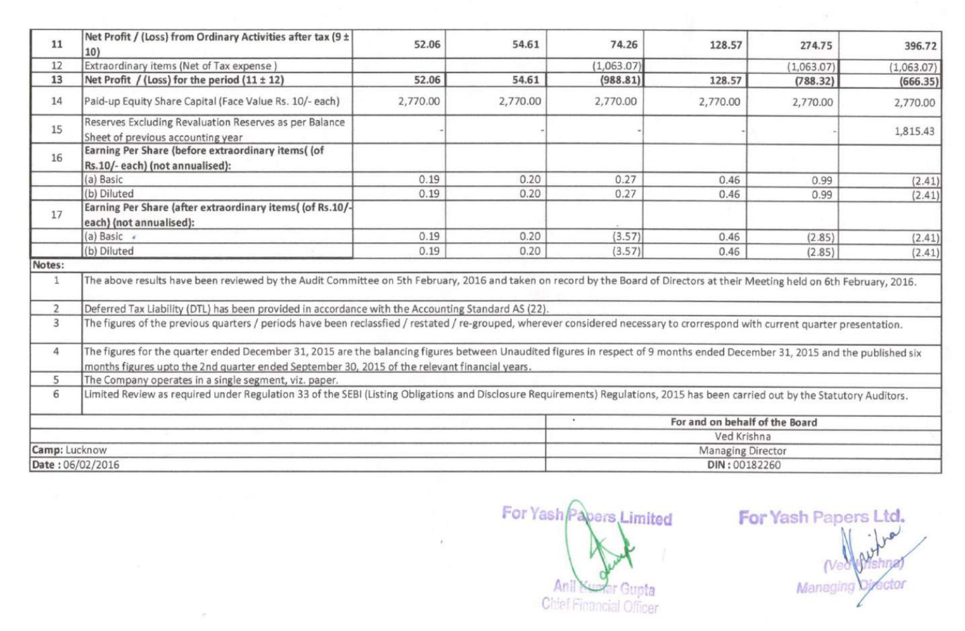| 11               | Net Profit / (Loss) from Ordinary Activities after tax (9 ±<br>10)                                                                                                                                                                                                            | 52.06    | 54.61             | 74.26                                       | 128.57      | 274.75     | 396.72     |  |  |  |
|------------------|-------------------------------------------------------------------------------------------------------------------------------------------------------------------------------------------------------------------------------------------------------------------------------|----------|-------------------|---------------------------------------------|-------------|------------|------------|--|--|--|
| 12               | Extraordinary items (Net of Tax expense)                                                                                                                                                                                                                                      |          |                   | (1,063.07)                                  |             | (1,063.07) | (1,063.07) |  |  |  |
| 13               | Net Profit / (Loss) for the period $(11 \pm 12)$                                                                                                                                                                                                                              | 52.06    | 54.61             | (988.81)                                    | 128.57      | (788.32)   | (666.35)   |  |  |  |
| 14               | Paid-up Equity Share Capital (Face Value Rs. 10/- each)                                                                                                                                                                                                                       | 2,770.00 | 2,770.00          | 2,770.00                                    | 2,770.00    | 2,770.00   | 2,770.00   |  |  |  |
| 15               | Reserves Excluding Revaluation Reserves as per Balance<br>Sheet of previous accounting year                                                                                                                                                                                   |          |                   |                                             |             |            | 1,815.43   |  |  |  |
| 16               | Earning Per Share (before extraordinary items( (of<br>Rs.10/-each) (not annualised):                                                                                                                                                                                          |          |                   |                                             |             |            |            |  |  |  |
|                  | (a) Basic                                                                                                                                                                                                                                                                     | 0.19     | 0.20              | 0.27                                        | 0.46        | 0.99       | (2.41)     |  |  |  |
|                  | (b) Diluted                                                                                                                                                                                                                                                                   | 0.19     | 0.20              | 0.27                                        | 0.46        | 0.99       | (2.41)     |  |  |  |
| 17               | Earning Per Share (after extraordinary items((of Rs.10/-<br>each) (not annualised):                                                                                                                                                                                           |          |                   |                                             |             |            |            |  |  |  |
|                  | (a) Basic $\epsilon$                                                                                                                                                                                                                                                          | 0.19     | 0.20              | (3.57)                                      | 0.46        | (2.85)     | (2.41)     |  |  |  |
|                  | (b) Diluted                                                                                                                                                                                                                                                                   | 0.19     | 0.20              | (3.57)                                      | 0.46        | (2.85)     | (2.41)     |  |  |  |
| Notes:           |                                                                                                                                                                                                                                                                               |          |                   |                                             |             |            |            |  |  |  |
| $\mathbf{1}$     | The above results have been reviewed by the Audit Committee on 5th February, 2016 and taken on record by the Board of Directors at their Meeting held on 6th February, 2016.                                                                                                  |          |                   |                                             |             |            |            |  |  |  |
| $\overline{2}$   | Deferred Tax Liability (DTL) has been provided in accordance with the Accounting Standard AS (22).                                                                                                                                                                            |          |                   |                                             |             |            |            |  |  |  |
| 3                | The figures of the previous quarters / periods have been reclassfied / restated / re-grouped, wherever considered necessary to crorrespond with current quarter presentation.                                                                                                 |          |                   |                                             |             |            |            |  |  |  |
| 4                | The figures for the quarter ended December 31, 2015 are the balancing figures between Unaudited figures in respect of 9 months ended December 31, 2015 and the published six<br>months figures upto the 2nd quarter ended September 30, 2015 of the relevant financial years. |          |                   |                                             |             |            |            |  |  |  |
| 5                | The Company operates in a single segment, viz. paper.                                                                                                                                                                                                                         |          |                   |                                             |             |            |            |  |  |  |
| 6                | Limited Review as required under Regulation 33 of the SEBI (Listing Obligations and Disclosure Requirements) Regulations, 2015 has been carried out by the Statutory Auditors.                                                                                                |          |                   |                                             |             |            |            |  |  |  |
|                  |                                                                                                                                                                                                                                                                               |          |                   | For and on behalf of the Board<br>$\bullet$ |             |            |            |  |  |  |
|                  |                                                                                                                                                                                                                                                                               |          |                   |                                             | Ved Krishna |            |            |  |  |  |
| Camp: Lucknow    |                                                                                                                                                                                                                                                                               |          | Managing Director |                                             |             |            |            |  |  |  |
| Date: 06/02/2016 |                                                                                                                                                                                                                                                                               |          |                   | DIN: 00182260                               |             |            |            |  |  |  |

cen-

For Yash Papers Limited Anil Numer Gupta

For Yash Papers Ltd. **Net** octor Managing